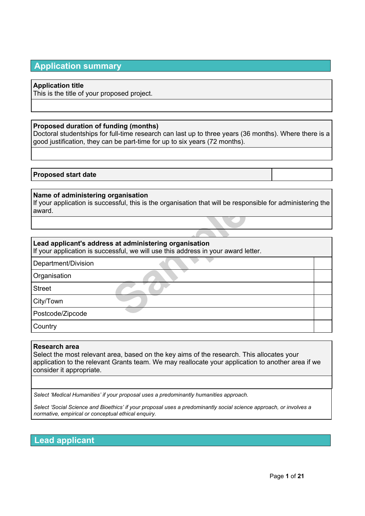# **Application summary**

### **Application title**

This is the title of your proposed project.

### **Proposed duration of funding (months)**

Doctoral studentships for full-time research can last up to three years (36 months). Where there is a good justification, they can be part-time for up to six years (72 months).

### **Proposed start date**

### **Name of administering organisation**

**Sample 19 and the Sample Startung organisation**<br> **Sample 20 and 20 and 20 and 30 and 30 and 30 and 30 and 30 and 30 and 30 and 30 and 30 and 30 and 30 and 30 and 30 and 30 and 30 and 30 and 30 and 30 and 30 and 30 and 30** If your application is successful, this is the organisation that will be responsible for administering the award.

### **Lead applicant's address at administering organisation**

If your application is successful, we will use this address in your award letter.

Department/Division

**Organisation** 

**Street** 

City/Town

Postcode/Zipcode

**Country** 

### **Research area**

Select the most relevant area, based on the key aims of the research. This allocates your application to the relevant Grants team. We may reallocate your application to another area if we consider it appropriate.

*Select 'Medical Humanities' if your proposal uses a predominantly humanities approach.*

Select 'Social Science and Bioethics' if your proposal uses a predominantly social science approach, or involves a *normative, empirical or conceptual ethical enquiry.*

**Lead applicant**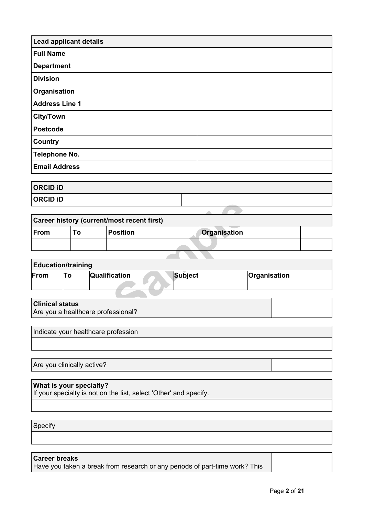| <b>Lead applicant details</b> |  |
|-------------------------------|--|
| <b>Full Name</b>              |  |
| <b>Department</b>             |  |
| <b>Division</b>               |  |
| Organisation                  |  |
| <b>Address Line 1</b>         |  |
| <b>City/Town</b>              |  |
| <b>Postcode</b>               |  |
| Country                       |  |
| <b>Telephone No.</b>          |  |
| <b>Email Address</b>          |  |

| <b>ORCID ID</b> |  |
|-----------------|--|
| <b>ORCID ID</b> |  |

| טו טוטווט              |                           |                                            |                |              |  |
|------------------------|---------------------------|--------------------------------------------|----------------|--------------|--|
|                        |                           |                                            |                |              |  |
|                        |                           | Career history (current/most recent first) |                |              |  |
| From                   | To                        | <b>Position</b>                            |                | Organisation |  |
|                        |                           |                                            |                |              |  |
|                        |                           |                                            |                |              |  |
|                        | <b>Education/training</b> |                                            |                |              |  |
| From                   | To                        | Qualification                              | <b>Subject</b> | Organisation |  |
|                        |                           |                                            |                |              |  |
|                        |                           |                                            |                |              |  |
| <b>Clinical status</b> |                           | Are you a healthcare professional?         |                |              |  |

| <b>Education/training</b> |  |                      |         |              |
|---------------------------|--|----------------------|---------|--------------|
| From                      |  | <b>Qualification</b> | Subject | Organisation |
|                           |  |                      |         |              |

| <b>Clinical status</b>             |  |
|------------------------------------|--|
| Are you a healthcare professional? |  |

Indicate your healthcare profession

Are you clinically active?

# **What is your specialty?**

If your specialty is not on the list, select 'Other' and specify.

Specify

### **Career breaks**

Have you taken a break from research or any periods of part-time work? This

Page **2** of **21**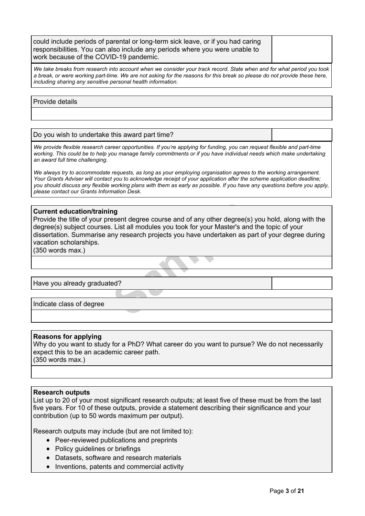| could include periods of parental or long-term sick leave, or if you had caring |  |
|---------------------------------------------------------------------------------|--|
| responsibilities. You can also include any periods where you were unable to     |  |
| work because of the COVID-19 pandemic.                                          |  |

We take breaks from research into account when we consider your track record. State when and for what period you took a break, or were working part-time. We are not asking for the reasons for this break so please do not provide these here, *including sharing any sensitive personal health information.*

Provide details

Do you wish to undertake this award part time?

We provide flexible research career opportunities. If you're applying for funding, you can request flexible and part-time working. This could be to help you manage family commitments or if you have individual needs which make undertaking *an award full time challenging.*

We always try to accommodate requests, as long as your employing organisation agrees to the working arrangement. Your Grants Adviser will contact you to acknowledge receipt of your application after the scheme application deadline: you should discuss any flexible working plans with them as early as possible. If you have any questions before you apply, *please contact our Grants [Information](mailto:grantenquiries@wellcome.org) Desk.*

### **Current education/training**

**ng**<br>esent degree course and of any other degree(s<br>. List all modules you took for your Master's an<br>ny research projects you have undertaken as p<br>ed? Provide the title of your present degree course and of any other degree(s) you hold, along with the degree(s) subject courses. List all modules you took for your Master's and the topic of your dissertation. Summarise any research projects you have undertaken as part of your degree during vacation scholarships.

(350 words max.)

Have you already graduated?

Indicate class of degree

### **Reasons for applying**

Why do you want to study for a PhD? What career do you want to pursue? We do not necessarily expect this to be an academic career path. (350 words max.)

#### **Research outputs**

List up to 20 of your most significant research outputs; at least five of these must be from the last five years. For 10 of these outputs, provide a statement describing their significance and your contribution (up to 50 words maximum per output).

Research outputs may include (but are not limited to):

- Peer-reviewed publications and preprints
- Policy guidelines or briefings
- Datasets, software and research materials
- Inventions, patents and commercial activity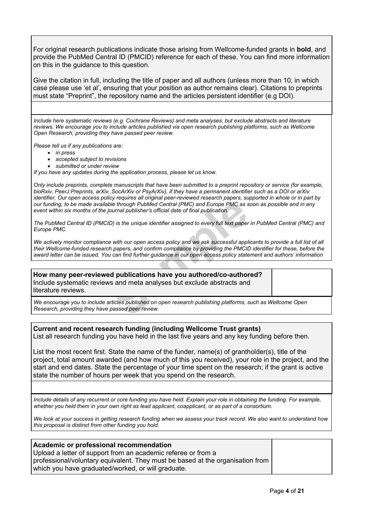For original research publications indicate those arising from Wellcome-funded grants in **bold**, and provide the PubMed Central ID (PMCID) reference for each of these. You can find more information on this in the guidance to this question.

Give the citation in full, including the title of paper and all authors (unless more than 10, in which case please use 'et al', ensuring that your position as author remains clear). Citations to preprints must state "Preprint", the repository name and the articles persistent identifier (e.g DOI).

*Include here systematic reviews (e.g. Cochrane Reviews) and meta analyses, but exclude abstracts and literature reviews. We encourage you to include articles published via open research publishing platforms, such as Wellcome Open Research, providing they have passed peer review.*

*Please tell us if any publications are:*

- *in press*
- *accepted subject to revisions*
- *submitted or under review*

*If you have any updates during the application process, please let us know.*

Only include preprints, complete manuscripts that have been submitted to a preprint repository or service (for example, bioRxiv, PeerJ Preprints, arXiv, SocArXiv or PsyArXiv), if they have a permanent identifier such as a DOI or arXiv identifier. Our open access policy requires all original peer-reviewed research papers, supported in whole or in part by our funding, to be made available through PubMed Central (PMC) and Europe PMC as soon as possible and in any *event within six months of the journal publisher's official date of final publication.*

| our funding, to be made available through PubMed Central (PMC) and Europe PMC as soon as possible and in any<br>event within six months of the journal publisher's official date of final publication.                                                                                                                                                                       |  |  |
|------------------------------------------------------------------------------------------------------------------------------------------------------------------------------------------------------------------------------------------------------------------------------------------------------------------------------------------------------------------------------|--|--|
| The PubMed Central ID (PMCID) is the unique identifier assigned to every full text paper in PubMed Central (PMC) and<br>Europe PMC.                                                                                                                                                                                                                                          |  |  |
| We actively monitor compliance with our open access policy and we ask successful applicants to provide a full list of all<br>their Wellcome-funded research papers, and confirm compliance by providing the PMCID identifier for these, before the<br>award letter can be issued. You can find further guidance in our open access policy statement and authors' information |  |  |
|                                                                                                                                                                                                                                                                                                                                                                              |  |  |
| How many peer-reviewed publications have you authored/co-authored?<br>Include systematic reviews and meta analyses but exclude abstracts and<br>literature reviews.                                                                                                                                                                                                          |  |  |
| We encourage you to include articles published on open research publishing platforms, such as Wellcome Open<br>Research, providing they have passed peer review.                                                                                                                                                                                                             |  |  |

### **Current and recent research funding (including Wellcome Trust grants)**

List all research funding you have held in the last five years and any key funding before then.

List the most recent first. State the name of the funder, name(s) of grantholder(s), title of the project, total amount awarded (and how much of this you received), your role in the project, and the start and end dates. State the percentage of your time spent on the research; if the grant is active state the number of hours per week that you spend on the research.

Include details of any recurrent or core funding you have held. Explain your role in obtaining the funding. For example, whether you held them in your own right as lead applicant, coapplicant, or as part of a consortium.

We look at your success in getting research funding when we assess your track record. We also want to understand how *this proposal is distinct from other funding you hold.*

### **Academic or professional recommendation**

Upload a letter of support from an academic referee or from a professional/voluntary equivalent. They must be based at the organisation from which you have graduated/worked, or will graduate.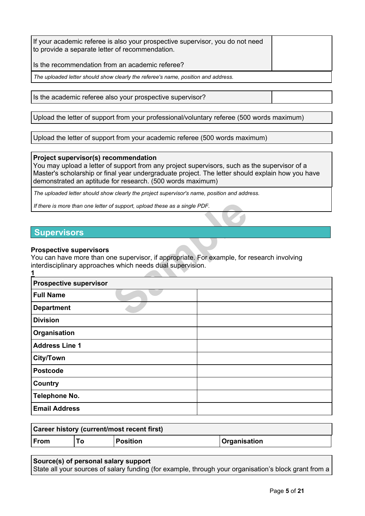| If your academic referee is also your prospective supervisor, you do not need<br>to provide a separate letter of recommendation. |  |
|----------------------------------------------------------------------------------------------------------------------------------|--|
| Is the recommendation from an academic referee?                                                                                  |  |
| The uploaded letter should show clearly the referee's name, position and address.                                                |  |

Is the academic referee also your prospective supervisor?

Upload the letter of support from your professional/voluntary referee (500 words maximum)

Upload the letter of support from your academic referee (500 words maximum)

### **Project supervisor(s) recommendation**

You may upload a letter of support from any project supervisors, such as the supervisor of a Master's scholarship or final year undergraduate project. The letter should explain how you have demonstrated an aptitude for research. (500 words maximum)

*The uploaded letter should show clearly the project supervisor's name, position and address.*

# **Supervisors**

### **Prospective supervisors**

| If there is more than one letter of support, upload these as a single PDF.                                                                                                                 |  |
|--------------------------------------------------------------------------------------------------------------------------------------------------------------------------------------------|--|
|                                                                                                                                                                                            |  |
| <b>Supervisors</b>                                                                                                                                                                         |  |
| <b>Prospective supervisors</b><br>You can have more than one supervisor, if appropriate. For example, for research involving<br>interdisciplinary approaches which needs dual supervision. |  |
| <b>Prospective supervisor</b>                                                                                                                                                              |  |
| <b>Full Name</b>                                                                                                                                                                           |  |
| <b>Department</b>                                                                                                                                                                          |  |
| <b>Division</b>                                                                                                                                                                            |  |
| Organisation                                                                                                                                                                               |  |
| <b>Address Line 1</b>                                                                                                                                                                      |  |
| City/Town                                                                                                                                                                                  |  |
| <b>Postcode</b>                                                                                                                                                                            |  |
| Country                                                                                                                                                                                    |  |
| Telephone No.                                                                                                                                                                              |  |
| <b>Email Address</b>                                                                                                                                                                       |  |

| <b>Career history (current/most recent first)</b> |    |                 |                            |
|---------------------------------------------------|----|-----------------|----------------------------|
| ∣From                                             | ⊺о | <b>Position</b> | <i><b>Organisation</b></i> |
|                                                   |    |                 |                            |

### **Source(s) of personal salary support**

State all your sources of salary funding (for example, through your organisation's block grant from a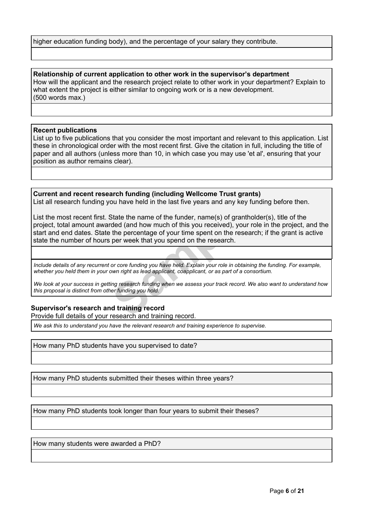```
higher education funding body), and the percentage of your salary they contribute.
```
**Relationship of current application to other work in the supervisor's department** How will the applicant and the research project relate to other work in your department? Explain to what extent the project is either similar to ongoing work or is a new development. (500 words max.)

### **Recent publications**

List up to five publications that you consider the most important and relevant to this application. List these in chronological order with the most recent first. Give the citation in full, including the title of paper and all authors (unless more than 10, in which case you may use 'et al', ensuring that your position as author remains clear).

**Current and recent research funding (including Wellcome Trust grants)** List all research funding you have held in the last five years and any key funding before then.

bu have held in the last five years and any key<br>State the name of the funder, name(s) of granth<br>ded (and how much of this you received), your<br>the percentage of your time spent on the research<br>per week that you spend on the List the most recent first. State the name of the funder, name(s) of grantholder(s), title of the project, total amount awarded (and how much of this you received), your role in the project, and the start and end dates. State the percentage of your time spent on the research; if the grant is active state the number of hours per week that you spend on the research.

Include details of any recurrent or core funding you have held. Explain your role in obtaining the funding. For example, whether you held them in your own right as lead applicant, coapplicant, or as part of a consortium.

We look at your success in getting research funding when we assess your track record. We also want to understand how *this proposal is distinct from other funding you hold.*

### **Supervisor's research and training record**

Provide full details of your research and training record.

*We ask this to understand you have the relevant research and training experience to supervise.*

How many PhD students have you supervised to date?

How many PhD students submitted their theses within three years?

How many PhD students took longer than four years to submit their theses?

How many students were awarded a PhD?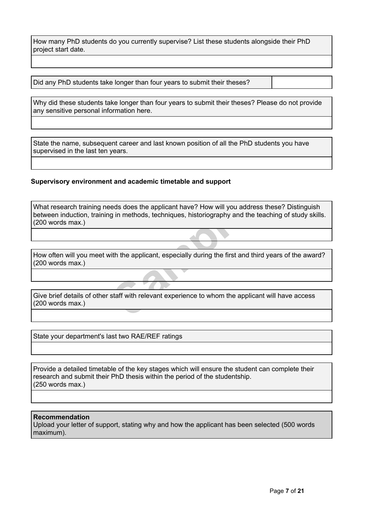How many PhD students do you currently supervise? List these students alongside their PhD project start date.

Did any PhD students take longer than four years to submit their theses?

Why did these students take longer than four years to submit their theses? Please do not provide any sensitive personal information here.

State the name, subsequent career and last known position of all the PhD students you have supervised in the last ten years.

### **Supervisory environment and academic timetable and support**

reds does the applicant have? How will you add<br>g in methods, techniques, historiography and the<br>ith the applicant, especially during the first and<br>staff with relevant experience to whom the app What research training needs does the applicant have? How will you address these? Distinguish between induction, training in methods, techniques, historiography and the teaching of study skills. (200 words max.)

How often will you meet with the applicant, especially during the first and third years of the award? (200 words max.)

Give brief details of other staff with relevant experience to whom the applicant will have access (200 words max.)

State your department's last two RAE/REF ratings

Provide a detailed timetable of the key stages which will ensure the student can complete their research and submit their PhD thesis within the period of the studentship. (250 words max.)

### **Recommendation**

Upload your letter of support, stating why and how the applicant has been selected (500 words maximum).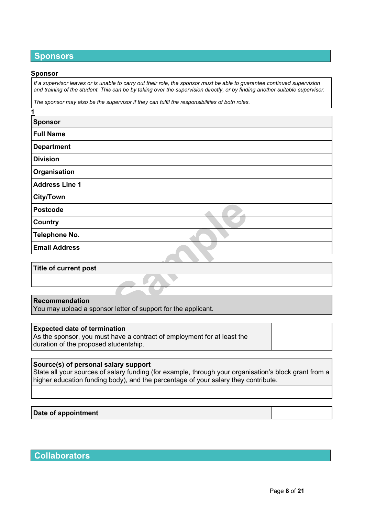# **Sponsors**

#### **Sponsor**

**1**

If a supervisor leaves or is unable to carry out their role, the sponsor must be able to guarantee continued supervision and training of the student. This can be by taking over the supervision directly, or by finding another suitable supervisor.

*The sponsor may also be the supervisor if they can fulfil the responsibilities of both roles.*

| <b>Sponsor</b>                                                                         |  |  |
|----------------------------------------------------------------------------------------|--|--|
| <b>Full Name</b>                                                                       |  |  |
| <b>Department</b>                                                                      |  |  |
| <b>Division</b>                                                                        |  |  |
| Organisation                                                                           |  |  |
| <b>Address Line 1</b>                                                                  |  |  |
| <b>City/Town</b>                                                                       |  |  |
| <b>Postcode</b>                                                                        |  |  |
| Country                                                                                |  |  |
| <b>Telephone No.</b>                                                                   |  |  |
| <b>Email Address</b>                                                                   |  |  |
|                                                                                        |  |  |
| <b>Title of current post</b>                                                           |  |  |
|                                                                                        |  |  |
|                                                                                        |  |  |
| <b>Recommendation</b><br>You may upload a sponsor letter of support for the applicant. |  |  |

| Title of current post |  |
|-----------------------|--|
|                       |  |

### **Recommendation**

#### **Expected date of termination**

As the sponsor, you must have a contract of employment for at least the duration of the proposed studentship.

### **Source(s) of personal salary support**

State all your sources of salary funding (for example, through your organisation's block grant from a higher education funding body), and the percentage of your salary they contribute.

### **Date of appointment**

# **Collaborators**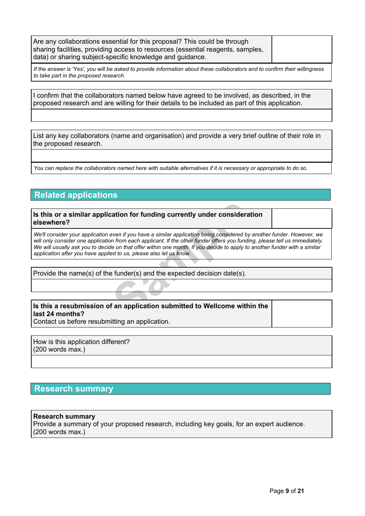Are any collaborations essential for this proposal? This could be through sharing facilities, providing access to resources (essential reagents, samples, data) or sharing subject-specific knowledge and guidance.

If the answer is 'Yes', you will be asked to provide information about these collaborators and to confirm their willingness *to take part in the proposed research.*

I confirm that the collaborators named below have agreed to be involved, as described, in the proposed research and are willing for their details to be included as part of this application.

List any key collaborators (name and organisation) and provide a very brief outline of their role in the proposed research.

You can replace the collaborators named here with suitable alternatives if it is necessary or appropriate to do so.

# **Related applications**

### **Is this or a similar application for funding currently under consideration elsewhere?**

**CONTRO SET AND CONTRO SET AND CONTRO SET AND ADDEDED SET AND ADDEDED SCALA THE ADDEDEDED SCALA THE CONTRO SET AND THE USE OF THE AND THE AND THE AND THE AND THE AND THE SET AND THE SET AND THE SET AND THE SET AND THE SET** We'll consider your application even if you have a similar application being considered by another funder. However, we will only consider one application from each applicant. If the other funder offers you funding, please tell us immediately. We will usually ask you to decide on that offer within one month. If you decide to apply to another funder with a similar *application after you have applied to us, please also let us know.*

Provide the name(s) of the funder(s) and the expected decision date(s).

### **Is this a resubmission of an application submitted to Wellcome within the last 24 months?**

Contact us before resubmitting an application.

How is this application different? (200 words max.)

# **Research summary**

### **Research summary**

Provide a summary of your proposed research, including key goals, for an expert audience. (200 words max.)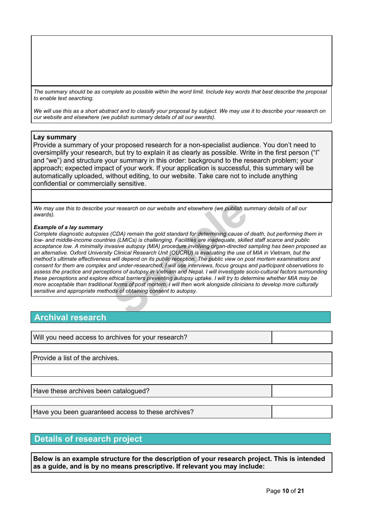The summary should be as complete as possible within the word limit. Include key words that best describe the proposal *to enable text searching.*

We will use this as a short abstract and to classify your proposal by subject. We may use it to describe your research on *our website and elsewhere (we publish summary details of all our awards).*

#### **Lay summary**

Provide a summary of your proposed research for a non-specialist audience. You don't need to oversimplify your research, but try to explain it as clearly as possible. Write in the first person ("I" and "we") and structure your summary in this order: background to the research problem; your approach; expected impact of your work. If your application is successful, this summary will be automatically uploaded, without editing, to our website. Take care not to include anything confidential or commercially sensitive.

We may use this to describe your research on our website and elsewhere (we publish summary details of all our *awards).*

#### *Example of a lay summary*

ur research on our website and elsewhere (we publish su<br>(CDA) remain the gold standard for determining cause of<br>es (LMICs) is challenging. Facilities are inadequate, skille<br>vasive autopsy (MIA) procedure involving organ-di Complete diagnostic autopsies (CDA) remain the gold standard for determining cause of death, but performing them in *low- and middle-income countries (LMICs) is challenging. Facilities are inadequate, skilled staff scarce and public acceptance low. A minimally invasive autopsy (MIA) procedure involving organ-directed sampling has been proposed as* an alternative. Oxford University Clinical Research Unit (OUCRU) is evaluating the use of MIA in Vietnam, but the method's ultimate effectiveness will depend on its public reception. The public view on post mortem examinations and consent for them are complex and under-researched. I will use interviews, focus groups and participant observations to assess the practice and perceptions of autopsy in Vietnam and Nepal. I will investigate socio-cultural factors surrounding these perceptions and explore ethical barriers preventing autopsy uptake. I will try to determine whether MIA may be more acceptable than traditional forms of post mortem. I will then work alongside clinicians to develop more culturally *sensitive and appropriate methods of obtaining consent to autopsy.*

### **Archival research**

Will you need access to archives for your research?

Provide a list of the archives.

Have these archives been catalogued?

Have you been guaranteed access to these archives?

### **Details of research project**

**Below is an example structure for the description of your research project. This is intended as a guide, and is by no means prescriptive. If relevant you may include:**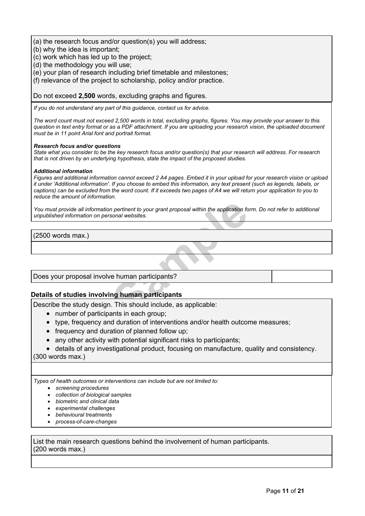(a) the research focus and/or question(s) you will address;

- (b) why the idea is important;
- (c) work which has led up to the project;
- (d) the methodology you will use;

(e) your plan of research including brief timetable and milestones;

(f) relevance of the project to scholarship, policy and/or practice.

Do not exceed **2,500** words, excluding graphs and figures.

*If you do not understand any part of this guidance, contact us for advice.*

The word count must not exceed 2,500 words in total, excluding graphs, figures. You may provide your answer to this question in text entry format or as a PDF attachment. If you are uploading your research vision, the uploaded document *must be in 11 point Arial font and portrait format.*

#### *Research focus and/or questions*

State what you consider to be the key research focus and/or question(s) that your research will address. For research *that is not driven by an underlying hypothesis, state the impact of the proposed studies.*

#### *Additional information*

Figures and additional information cannot exceed 2 A4 pages. Embed it in your upload for your research vision or upload it under 'Additional information'. If you choose to embed this information, any text present (such as legends, labels, or captions) can be excluded from the word count. If it exceeds two pages of A4 we will return your application to you to *reduce the amount of information.*

man pertinent to your grant proposal within the application for<br> **Sample Websites.**<br> **Sample Propose Applicant S**<br> **Sample Propose Applicants**<br> **Sample Propose Applicable:**<br> **Sample Propose Applicable:**<br> **Sample Propose Ap** You must provide all information pertinent to your grant proposal within the application form. Do not refer to additional *unpublished information on personal websites.*

(2500 words max.)

Does your proposal involve human participants?

### **Details of studies involving human participants**

Describe the study design. This should include, as applicable:

- number of participants in each group;
- type, frequency and duration of interventions and/or health outcome measures;
- frequency and duration of planned follow up;
- any other activity with potential significant risks to participants;
- details of any investigational product, focusing on manufacture, quality and consistency.

(300 words max.)

*Types of health outcomes or interventions can include but are not limited to:*

- *screening procedures*
- *collection of biological samples*
- *biometric and clinical data*
- *experimental challenges*
- *behavioural treatments*
- *process-of-care-changes*

List the main research questions behind the involvement of human participants. (200 words max.)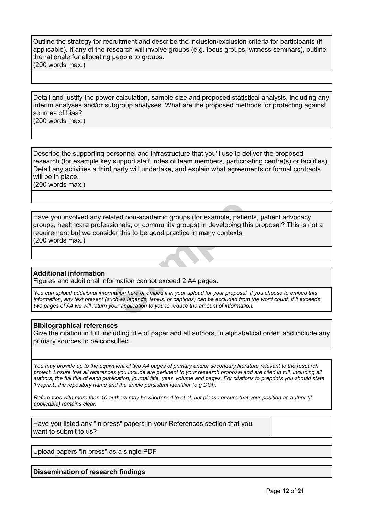Outline the strategy for recruitment and describe the inclusion/exclusion criteria for participants (if applicable). If any of the research will involve groups (e.g. focus groups, witness seminars), outline the rationale for allocating people to groups. (200 words max.)

Detail and justify the power calculation, sample size and proposed statistical analysis, including any interim analyses and/or subgroup analyses. What are the proposed methods for protecting against sources of bias?

(200 words max.)

Describe the supporting personnel and infrastructure that you'll use to deliver the proposed research (for example key support staff, roles of team members, participating centre(s) or facilities). Detail any activities a third party will undertake, and explain what agreements or formal contracts will be in place.

(200 words max.)

ated non-academic groups (for example, patier<br>sionals, or community groups) in developing this<br>der this to be good practice in many contexts.<br>The this to be good practice in many contexts.<br>The this to be good practice in m Have you involved any related non-academic groups (for example, patients, patient advocacy groups, healthcare professionals, or community groups) in developing this proposal? This is not a requirement but we consider this to be good practice in many contexts. (200 words max.)

### **Additional information**

Figures and additional information cannot exceed 2 A4 pages.

You can upload additional information here or embed it in your upload for your proposal. If you choose to embed this information, any text present (such as legends, labels, or captions) can be excluded from the word count. If it exceeds *two pages of A4 we will return your application to you to reduce the amount of information.*

### **Bibliographical references**

Give the citation in full, including title of paper and all authors, in alphabetical order, and include any primary sources to be consulted.

You may provide up to the equivalent of two A4 pages of primary and/or secondary literature relevant to the research project. Ensure that all references you include are pertinent to your research proposal and are cited in full, including all authors, the full title of each publication, journal title, year, volume and pages. For citations to preprints you should state *'Preprint', the repository name and the article persistent identifier (e.g DOI).*

References with more than 10 authors may be shortened to et al. but please ensure that your position as author (if *applicable) remains clear.*

Have you listed any "in press" papers in your References section that you want to submit to us?

Upload papers "in press" as a single PDF

**Dissemination of research findings**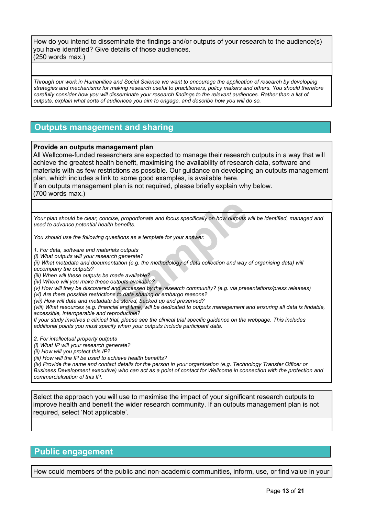How do you intend to disseminate the findings and/or outputs of your research to the audience(s) you have identified? Give details of those audiences. (250 words max.)

Through our work in Humanities and Social Science we want to encourage the application of research by developing strategies and mechanisms for making research useful to practitioners, policy makers and others. You should therefore carefully consider how you will disseminate your research findings to the relevant audiences. Rather than a list of *outputs, explain what sorts of audiences you aim to engage, and describe how you will do so.*

# **Outputs management and sharing**

### **Provide an outputs management plan**

All Wellcome-funded researchers are expected to manage their research outputs in a way that will achieve the greatest health benefit, maximising the availability of research data, software and materials with as few restrictions as possible. Our guidance on developing an outputs management plan, which includes a link to some good examples, is available [here.](https://wellcome.org/grant-funding/guidance/how-complete-outputs-management-plan)

If an outputs management plan is not required, please briefly explain why below. (700 words max.)

ise, proportionate and focus specifically on how outputs w<br>th benefits.<br>the setions as a template for your answer.<br>ials outputs<br>ch generate?<br>nation (e.g. the methodology of data collection and way w<br>made available?<br>outputs Your plan should be clear, concise, proportionate and focus specifically on how outputs will be identified, managed and *used to advance potential health benefits.*

*You should use the following questions as a template for your answer.*

*1. For data, software and materials outputs*

*(i) What outputs will your research generate?*

(ii) What metadata and documentation (e.g. the methodology of data collection and way of organising data) will *accompany the outputs?*

*(iii) When will these outputs be made available?*

*(iv) Where will you make these outputs available?*

*(v) How will they be discovered and accessed by the research community? (e.g. via presentations/press releases)*

*(vi) Are there possible restrictions to data sharing or embargo reasons?*

*(vii) How will data and metadata be stored, backed up and preserved?*

(viii) What resources (e.g. financial and time) will be dedicated to outputs management and ensuring all data is findable, *accessible, interoperable and reproducible?*

If your study involves a clinical trial, please see the clinical trial specific quidance on the webpage. This includes *additional points you must specify when your outputs include participant data.*

*2. For intellectual property outputs*

*(i) What IP will your research generate?*

*(ii) How will you protect this IP?*

*(iii) How will the IP be used to achieve health benefits?*

(iv) Provide the name and contact details for the person in your organisation (e.g. Technology Transfer Officer or Business Development executive) who can act as a point of contact for Wellcome in connection with the protection and *commercialisation of this IP.*

Select the approach you will use to maximise the impact of your significant research outputs to improve health and benefit the wider research community. If an outputs management plan is not required, select 'Not applicable'.

# **Public engagement**

How could members of the public and non-academic communities, inform, use, or find value in your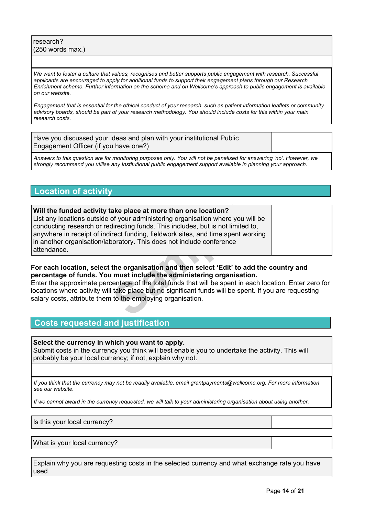research? (250 words max.)

We want to foster a culture that values, recognises and better supports public engagement with research. Successful *applicants are encouraged to apply for additional funds to support their engagement plans through our Research* Enrichment scheme. Further information on the scheme and on Wellcome's approach to public engagement is available *on our website.*

Engagement that is essential for the ethical conduct of your research, such as patient information leaflets or community advisory boards, should be part of your research methodology. You should include costs for this within your main *research costs.*

Have you discussed your ideas and plan with your institutional Public Engagement Officer (if you have one?)

Answers to this question are for monitoring purposes only. You will not be penalised for answering 'no'. However, we *strongly recommend you utilise any Institutional public engagement support available in planning your approach.*

# **Location of activity**

ake place at more than one location?<br>of your administering organisation where you w<br>directing funds. This includes, but is not limited<br>irect funding, fieldwork sites, and time spent we<br>ooratory. This does not include confe **Will the funded activity take place at more than one location?** List any locations outside of your administering organisation where you will be conducting research or redirecting funds. This includes, but is not limited to, anywhere in receipt of indirect funding, fieldwork sites, and time spent working in another organisation/laboratory. This does not include conference attendance.

### **For each location, select the organisation and then select 'Edit' to add the country and percentage of funds. You must include the administering organisation.**

Enter the approximate percentage of the total funds that will be spent in each location. Enter zero for locations where activity will take place but no significant funds will be spent. If you are requesting salary costs, attribute them to the employing organisation.

# **Costs requested and justification**

**Select the currency in which you want to apply.** Submit costs in the currency you think will best enable you to undertake the activity. This will probably be your local currency; if not, explain why not.

If you think that the currency may not be readily available, email grantpayments@wellcome.org. For more information *see our [website.](http://www.wellcome.org/funding/guidance/currency-issues)*

If we cannot award in the currency requested, we will talk to your administering organisation about using another.

Is this your local currency?

What is your local currency?

Explain why you are requesting costs in the selected currency and what exchange rate you have used.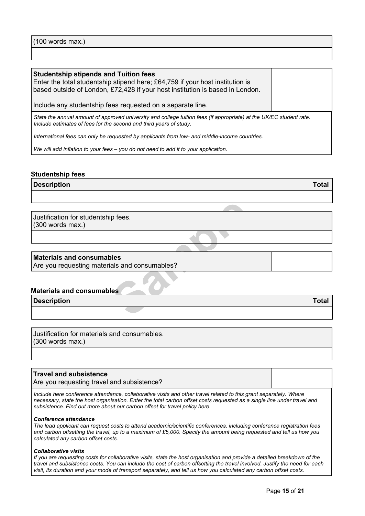(100 words max.)

#### **Studentship stipends and Tuition fees**

Enter the total studentship stipend here; £64,759 if your host institution is based outside of London, £72,428 if your host institution is based in London.

Include any studentship fees requested on a separate line.

State the annual amount of approved university and college tuition fees (if appropriate) at the UK/EC student rate. *Include estimates of fees for the second and third years of study.*

*International fees can only be requested by applicants from low- and middle-income countries.*

*We will add inflation to your fees – you do not need to add it to your application.*

### **Studentship fees**

**Description Total**

### **Materials and consumables**

#### **Materials and consumables**

| Justification for studentship fees.           |              |
|-----------------------------------------------|--------------|
| $(300 \text{ words max.})$                    |              |
|                                               |              |
|                                               |              |
| <b>Materials and consumables</b>              |              |
| Are you requesting materials and consumables? |              |
| <b>Materials and consumables</b>              |              |
| <b>Description</b>                            | <b>Total</b> |
|                                               |              |

Justification for materials and consumables. (300 words max.)

#### **Travel and subsistence**

Are you requesting travel and subsistence?

*Include here conference attendance, collaborative visits and other travel related to this grant separately. Where* necessary, state the host organisation. Enter the total carbon offset costs requested as a single line under travel and *subsistence. Find out more about our carbon offset for travel policy [here.](https://wellcome.org/funding/carbon-offset-policy-travel)*

#### *Conference attendance*

*The lead applicant can request costs to attend academic/scientific conferences, including conference registration fees* and carbon offsetting the travel, up to a maximum of £5,000. Specify the amount being requested and tell us how you *calculated any carbon offset costs.*

#### *Collaborative visits*

If you are requesting costs for collaborative visits, state the host organisation and provide a detailed breakdown of the travel and subsistence costs. You can include the cost of carbon offsetting the travel involved. Justify the need for each visit, its duration and your mode of transport separately, and tell us how you calculated any carbon offset costs.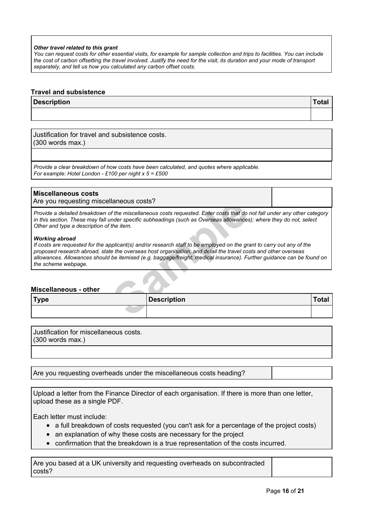#### *Other travel related to this grant*

You can request costs for other essential visits, for example for sample collection and trips to facilities. You can include the cost of carbon offsetting the travel involved. Justify the need for the visit, its duration and your mode of transport *separately, and tell us how you calculated any carbon offset costs.*

#### **Travel and subsistence**

#### **Description Total**

Justification for travel and subsistence costs. (300 words max.)

*Provide a clear breakdown of how costs have been calculated, and quotes where applicable. For example: Hotel London - £100 per night x 5 = £500*

#### **Miscellaneous costs**

Are you requesting miscellaneous costs?

Provide a detailed breakdown of the miscellaneous costs requested. Enter costs that do not fall under any other category in this section. These may fall under specific subheadings (such as Overseas allowances); where they do not, select *Other and type a description of the item.*

#### *Working abroad*

**Sample 120 and Solution**<br> *Sampleous costs requested. Enter costs that do*<br> *nder specific subheadings (such as Overseas allowances*<br>
the item.<br>
pplicant(s) and/or research staff to be employed on the graphicant<br>
pplicant If costs are requested for the applicant(s) and/or research staff to be employed on the grant to carry out any of the *proposed research abroad, state the overseas host organisation, and detail the travel costs and other overseas allowances. Allowances should be itemised (e.g. baggage/freight; medical insurance). Further guidance can be found on the scheme [webpage](https://wellcome.org/funding/doctoral-studentships).*

#### **Miscellaneous - other**

| <b>Type</b> | <b>Description</b> | <b>Total</b> |
|-------------|--------------------|--------------|
|             |                    |              |

Justification for miscellaneous costs. (300 words max.)

Are you requesting overheads under the miscellaneous costs heading?

Upload a letter from the Finance Director of each organisation. If there is more than one letter, upload these as a single PDF.

Each letter must include:

- a full breakdown of costs requested (you can't ask for a percentage of the project costs)
- an explanation of why these costs are necessary for the project
- confirmation that the breakdown is a true representation of the costs incurred.

Are you based at a UK university and requesting overheads on subcontracted costs?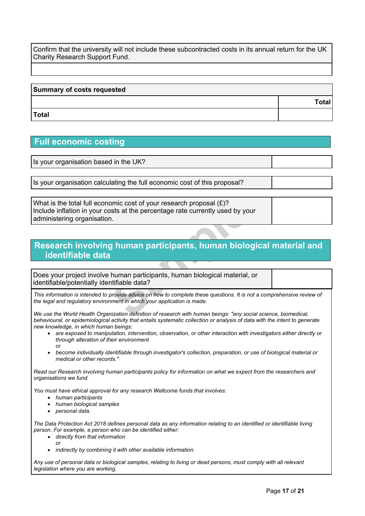Confirm that the university will not include these subcontracted costs in its annual return for the UK Charity Research Support Fund.

# **Summary of costs requested Total Total**

# **Full economic costing**

Is your organisation based in the UK?

Is your organisation calculating the full economic cost of this proposal?

omic cost of your research proposal (£)?<br>
sts at the percentage rate currently used by you.<br> **J**<br> **J**<br> **I human participants, human biological material,<br>
human participants, human biological material,<br>
tifiable data?<br>
prov** What is the total full economic cost of your research proposal (£)? Include inflation in your costs at the percentage rate currently used by your administering organisation.

# **Research involving human participants, human biological material and identifiable data**

Does your project involve human participants, human biological material, or identifiable/potentially identifiable data?

This information is intended to provide advice on how to complete these questions. It is not a comprehensive review of *the legal and regulatory environment in which your application is made.*

*We use the World Health Organization definition of research with human beings: "any social science, biomedical,* behavioural, or epidemiological activity that entails systematic collection or analysis of data with the intent to generate *new knowledge, in which human beings:*

- *are exposed to manipulation, intervention, observation, or other interaction with investigators either directly or through alteration of their environment or*
- *become individually identifiable through investigator's collection, preparation, or use of biological material or medical or other records."*

Read our Research involving human [participants](https://wellcome.org/grant-funding/guidance/research-involving-human-participants-policy) policy for information on what we expect from the researchers and *organisations we fund.*

*You must have ethical approval for any research Wellcome funds that involves:*

- *human participants*
- *human biological samples*
- *personal data.*

The Data Protection Act 2018 defines personal data as any information relating to an identified or identifiable living *person. For example, a person who can be identified either:*

- *directly from that information or*
- *indirectly by combining it with other available information.*

Any use of personal data or biological samples, relating to living or dead persons, must comply with all relevant *legislation where you are working.*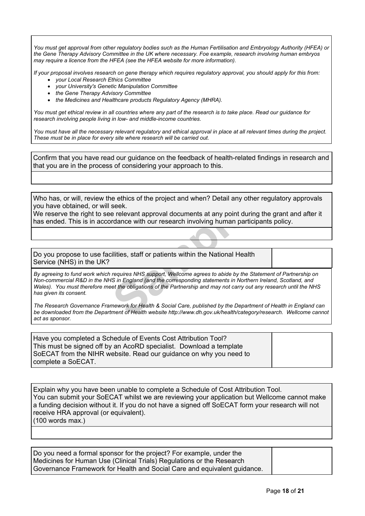You must get approval from other regulatory bodies such as the Human Fertilisation and Embryology Authority (HFEA) or *the Gene Therapy Advisory Committee in the UK where necessary. Foe example, research involving human embryos may require a licence from the HFEA (see the HFEA [website](http://www.hfea.gov.uk/) for more information).*

If your proposal involves research on gene therapy which requires regulatory approval, you should apply for this from:

- *your Local Research Ethics Committee*
- *your University's Genetic Manipulation Committee*
- *the Gene Therapy Advisory Committee*
- *the Medicines and Healthcare products Regulatory Agency (MHRA).*

You must get ethical review in all countries where any part of the research is to take place. Read our [guidance](https://wellcome.org/grant-funding/guidance/research-involving-people-low-and-middle-income-countries) for *research involving people living in low- and [middle-income](https://wellcome.org/grant-funding/guidance/research-involving-people-low-and-middle-income-countries) countries.*

You must have all the necessary relevant regulatory and ethical approval in place at all relevant times during the project. *These must be in place for every site where research will be carried out.*

Confirm that you have read our guidance on the feedback of [health-related](https://wellcome.org/grant-funding/guidance/research-involving-human-participants-policy) findings in research and that you are in the process of considering your approach to this.

Who has, or will, review the ethics of the project and when? Detail any other regulatory approvals you have obtained, or will seek.

We reserve the right to see relevant approval documents at any point during the grant and after it has ended. This is in accordance with our research involving human participants policy.

Do you propose to use facilities, staff or patients within the National Health Service (NHS) in the UK?

Seek.<br>
Seek.<br>
Seek.<br>
Seek.<br>
Seek.<br>
Seek.<br>
Seek.<br>
Seek.<br>
Seek.<br>
Seek.<br>
Seek.<br>
Seek.<br>
Seek in our research involving human part<br>
Different parameters within the National Heal<br>
Fequires NHS support, Wellcome agrees to abide b By agreeing to fund work which requires NHS support, Wellcome agrees to abide by the Statement of Partnership on *Non-commercial R&D in the NHS in England (and the corresponding statements in Northern Ireland, Scotland, and* Wales). You must therefore meet the obligations of the Partnership and may not carry out any research until the NHS *has given its consent.*

The Research Governance Framework for Health & Social Care, published by the Department of Health in England can *be downloaded from the Department of Health website [http://www.dh.gov.uk/health/category/research.](http://www.dh.gov.uk/health/category/research/) Wellcome cannot act as sponsor.*

Have you completed a Schedule of Events Cost Attribution Tool? This must be signed off by an AcoRD specialist. Download a template SoECAT from the NIHR [website.](https://www.nihr.ac.uk/researchers/collaborations-services-and-support-for-your-research/run-your-study/excess-treatment-costs.htm) Read our [guidance](https://wellcome.org/grant-funding/guidance/clinical-research-using-nhs-resources) on why you need to complete a SoECAT.

Explain why you have been unable to complete a Schedule of Cost Attribution Tool. You can submit your SoECAT whilst we are reviewing your application but Wellcome cannot make a funding decision without it. If you do not have a signed off SoECAT form your research will not receive HRA approval (or equivalent). (100 words max.)

Do you need a formal sponsor for the project? For example, under the Medicines for Human Use (Clinical Trials) Regulations or the Research Governance Framework for Health and Social Care and equivalent guidance.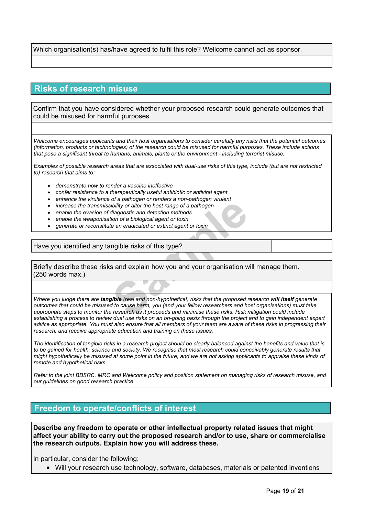Which organisation(s) has/have agreed to fulfil this role? Wellcome cannot act as sponsor.

## **Risks of research misuse**

Confirm that you have considered whether your proposed research could generate outcomes that could be misused for harmful purposes.

Wellcome encourages applicants and their host organisations to consider carefully any risks that the potential outcomes (information, products or technologies) of the research could be misused for harmful purposes. These include actions *that pose a significant threat to humans, animals, plants or the environment - including terrorist misuse.*

Examples of possible research areas that are associated with dual-use risks of this type, include (but are not restricted *to) research that aims to:*

- *demonstrate how to render a vaccine ineffective*
- *confer resistance to a therapeutically useful antibiotic or antiviral agent*
- *enhance the virulence of a pathogen or renders a non-pathogen virulent*
- *increase the transmissibility or alter the host range of a pathogen*
- *enable the evasion of diagnostic and detection methods*
- *enable the weaponisation of a biological agent or toxin*
- *generate or reconstitute an eradicated or extinct agent or toxin*

Have you identified any tangible risks of this type?

Briefly describe these risks and explain how you and your organisation will manage them. (250 words max.)

**Sample Transformation**<br>
Sibility or alter the host range of a pathogen<br>
diagnostic and detection methods<br>
ion of a biological agent or toxin<br> **Sample Example 1** is type?<br> **Sample Sidicary Sidicary Sidicary Sidicary Sidica** Where you judge there are tangible (real and non-hypothetical) risks that the proposed research will itself generate outcomes that could be misused to cause harm, you (and your fellow researchers and host organisations) must take appropriate steps to monitor the research as it proceeds and minimise these risks. Risk mitigation could include establishing a process to review dual use risks on an on-going basis through the project and to gain independent expert advice as appropriate. You must also ensure that all members of your team are aware of these risks in progressing their *research, and receive appropriate education and training on these issues.*

The identification of tangible risks in a research project should be clearly balanced against the benefits and value that is to be gained for health, science and society. We recognise that most research could conceivably generate results that might hypothetically be misused at some point in the future, and we are not asking applicants to appraise these kinds of *remote and hypothetical risks.*

Refer to the joint BBSRC, MRC and Wellcome policy and position statement on [managing](https://wellcome.org/funding/managing-grant/managing-risks-research-misuse) risks of research misuse, and *our guidelines on good [research](https://wellcome.org/funding/managing-grant/policy-good-research-practice) practice.*

# **Freedom to operate/conflicts of interest**

**Describe any freedom to operate or other intellectual property related issues that might affect your ability to carry out the proposed research and/or to use, share or commercialise the research outputs. Explain how you will address these.**

In particular, consider the following:

Will your research use technology, software, databases, materials or patented inventions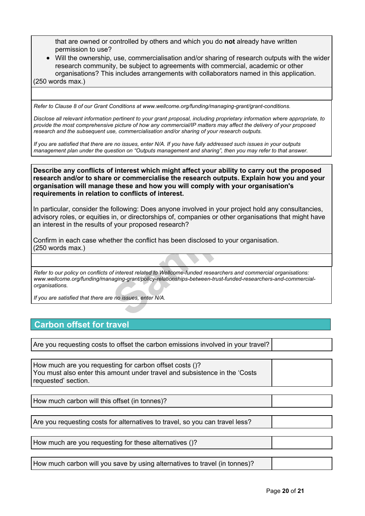that are owned or controlled by others and which you do **not** already have written permission to use?

 Will the ownership, use, commercialisation and/or sharing of research outputs with the wider research community, be subject to agreements with commercial, academic or other organisations? This includes arrangements with collaborators named in this application. (250 words max.)

*Refer to Clause 8 of our Grant Conditions at [www.wellcome.org/funding/managing-grant/grant-conditions.](http://www.wellcome.ac.uk/funding/managing-grant/grant-conditions)*

Disclose all relevant information pertinent to your grant proposal, including proprietary information where appropriate, to provide the most comprehensive picture of how any commercial/IP matters may affect the delivery of your proposed *research and the subsequent use, commercialisation and/or sharing of your research outputs.*

If you are satisfied that there are no issues, enter N/A. If you have fully addressed such issues in your outputs management plan under the question on "Outputs management and sharing", then you may refer to that answer.

**Describe any conflicts of interest which might affect your ability to carry out the proposed research and/or to share or commercialise the research outputs. Explain how you and your organisation will manage these and how you will comply with your organisation's requirements in relation to conflicts of interest.**

following: Does anyone involved in your projec<br>
in, or directorships of, companies or other orga<br>
f your proposed research?<br>
ther the conflict has been disclosed to your org<br>
states the conflict has been disclosed to your In particular, consider the following: Does anyone involved in your project hold any consultancies, advisory roles, or equities in, or directorships of, companies or other organisations that might have an interest in the results of your proposed research?

Confirm in each case whether the conflict has been disclosed to your organisation. (250 words max.)

*Refer to our policy on conflicts of interest related to Wellcome-funded researchers and commercial organisations: [www.wellcome.org/funding/managing-grant/policy-relationships-between-trust-funded-researchers-and-commercial](http://www.wellcome.ac.uk/funding/managing-grant/policy-relationships-between-trust-funded-researchers-and-commercial-organisations)[organisations](http://www.wellcome.ac.uk/funding/managing-grant/policy-relationships-between-trust-funded-researchers-and-commercial-organisations).*

*If you are satisfied that there are no issues, enter N/A.*

# **Carbon offset for travel**

Are you requesting costs to offset the carbon emissions involved in your travel?

| How much are you requesting for carbon offset costs ()?                     |  |
|-----------------------------------------------------------------------------|--|
| You must also enter this amount under travel and subsistence in the 'Costs' |  |
| requested' section.                                                         |  |

How much carbon will this offset (in tonnes)?

Are you requesting costs for alternatives to travel, so you can travel less?

How much are you requesting for these alternatives ()?

How much carbon will you save by using alternatives to travel (in tonnes)?